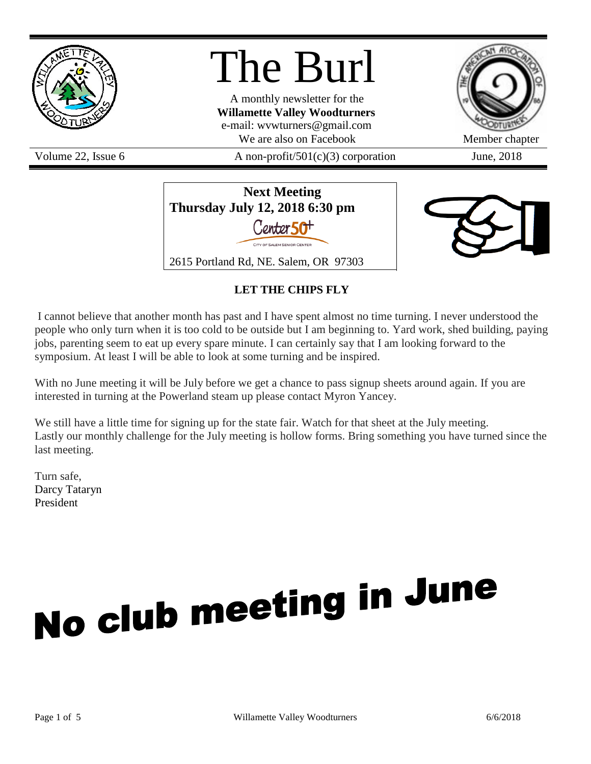

The Burl

A monthly newsletter for the **Willamette Valley Woodturners** e-mail: wvwturners@gmail.com We are also on Facebook Member chapter

Volume 22, Issue 6  $\alpha$  A non-profit/501(c)(3) corporation June, 2018







# **LET THE CHIPS FLY**

I cannot believe that another month has past and I have spent almost no time turning. I never understood the people who only turn when it is too cold to be outside but I am beginning to. Yard work, shed building, paying jobs, parenting seem to eat up every spare minute. I can certainly say that I am looking forward to the symposium. At least I will be able to look at some turning and be inspired.

With no June meeting it will be July before we get a chance to pass signup sheets around again. If you are interested in turning at the Powerland steam up please contact Myron Yancey.

We still have a little time for signing up for the state fair. Watch for that sheet at the July meeting. Lastly our monthly challenge for the July meeting is hollow forms. Bring something you have turned since the last meeting.

Turn safe, Darcy Tataryn President

# No club meeting in June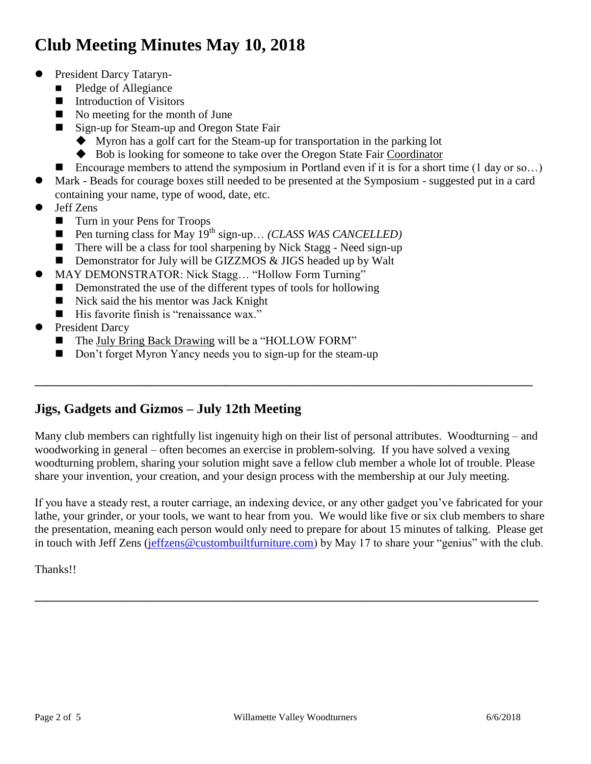# **Club Meeting Minutes May 10, 2018**

- President Darcy Tataryn-
	- Pledge of Allegiance
	- **Introduction of Visitors**
	- No meeting for the month of June
	- Sign-up for Steam-up and Oregon State Fair
		- Myron has a golf cart for the Steam-up for transportation in the parking lot
		- Bob is looking for someone to take over the Oregon State Fair Coordinator
	- Encourage members to attend the symposium in Portland even if it is for a short time  $(1 \text{ day or so...})$
- Mark Beads for courage boxes still needed to be presented at the Symposium suggested put in a card containing your name, type of wood, date, etc.
- Jeff Zens
	- Turn in your Pens for Troops
	- Pen turning class for May 19<sup>th</sup> sign-up… *(CLASS WAS CANCELLED)*
	- $\blacksquare$  There will be a class for tool sharpening by Nick Stagg Need sign-up
	- Demonstrator for July will be GIZZMOS & JIGS headed up by Walt
- MAY DEMONSTRATOR: Nick Stagg… "Hollow Form Turning"
	- Demonstrated the use of the different types of tools for hollowing
	- Nick said the his mentor was Jack Knight
	- His favorite finish is "renaissance wax."
- President Darcy
	- The July Bring Back Drawing will be a "HOLLOW FORM"
	- Don't forget Myron Yancy needs you to sign-up for the steam-up

# **Jigs, Gadgets and Gizmos – July 12th Meeting**

Many club members can rightfully list ingenuity high on their list of personal attributes. Woodturning – and woodworking in general – often becomes an exercise in problem-solving. If you have solved a vexing woodturning problem, sharing your solution might save a fellow club member a whole lot of trouble. Please share your invention, your creation, and your design process with the membership at our July meeting.

**\_\_\_\_\_\_\_\_\_\_\_\_\_\_\_\_\_\_\_\_\_\_\_\_\_\_\_\_\_\_\_\_\_\_\_\_\_\_\_\_\_\_\_\_\_\_\_\_\_\_\_\_\_\_\_\_\_\_\_\_\_\_\_\_\_\_\_\_\_\_\_\_\_\_\_\_\_\_\_\_\_\_\_\_\_\_**

If you have a steady rest, a router carriage, an indexing device, or any other gadget you've fabricated for your lathe, your grinder, or your tools, we want to hear from you. We would like five or six club members to share the presentation, meaning each person would only need to prepare for about 15 minutes of talking. Please get in touch with Jeff Zens [\(jeffzens@custombuiltfurniture.com\)](mailto:jeffzens@custombuiltfurniture.com) by May 17 to share your "genius" with the club.

**\_\_\_\_\_\_\_\_\_\_\_\_\_\_\_\_\_\_\_\_\_\_\_\_\_\_\_\_\_\_\_\_\_\_\_\_\_\_\_\_\_\_\_\_\_\_\_\_\_\_\_\_\_\_\_\_\_\_\_\_\_\_\_\_\_\_\_\_\_\_\_\_\_\_\_\_\_\_\_\_\_\_\_\_\_\_\_**

Thanks!!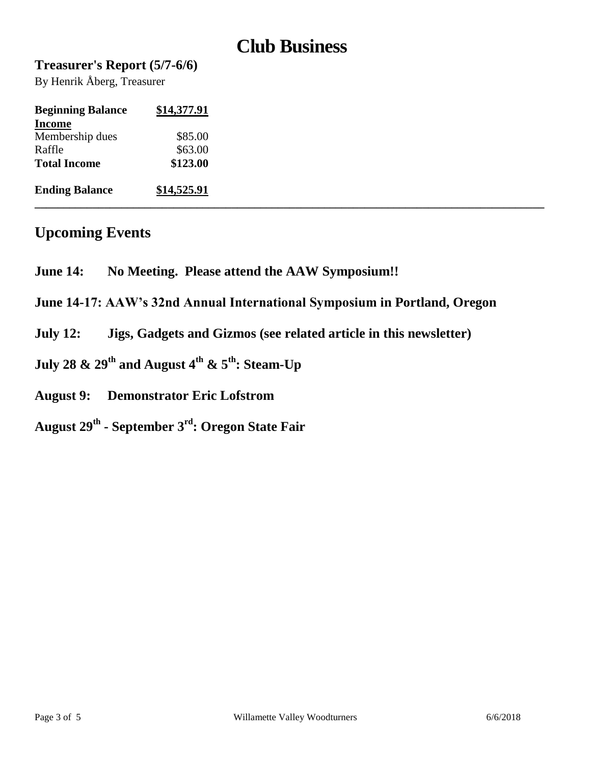# **Club Business**

## **Treasurer's Report (5/7-6/6)**

By Henrik Åberg, Treasurer

| <b>Beginning Balance</b> | \$14,377.91 |
|--------------------------|-------------|
| <b>Income</b>            |             |
| Membership dues          | \$85.00     |
| Raffle                   | \$63.00     |
| <b>Total Income</b>      | \$123.00    |
| <b>Ending Balance</b>    | \$14,525.91 |

# **Upcoming Events**

- **June 14: No Meeting. Please attend the AAW Symposium!!**
- **June 14-17: AAW's 32nd Annual International Symposium in Portland, Oregon**
- **July 12: Jigs, Gadgets and Gizmos (see related article in this newsletter)**
- **July 28 & 29th and August 4th & 5th: Steam-Up**
- **August 9: Demonstrator Eric Lofstrom**
- **August 29th - September 3rd: Oregon State Fair**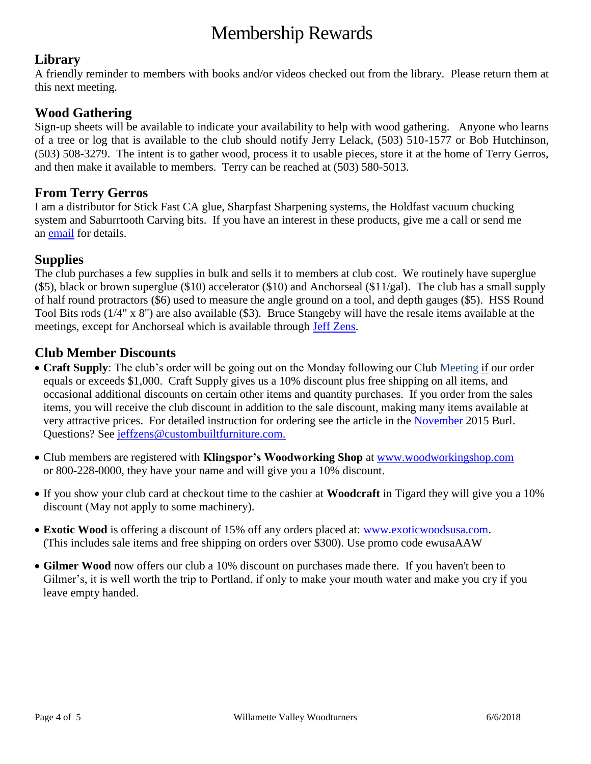# Membership Rewards

## **Library**

A friendly reminder to members with books and/or videos checked out from the library. Please return them at this next meeting.

## **Wood Gathering**

Sign-up sheets will be available to indicate your availability to help with wood gathering. Anyone who learns of a tree or log that is available to the club should notify Jerry Lelack, (503) 510-1577 or Bob Hutchinson, (503) 508-3279. The intent is to gather wood, process it to usable pieces, store it at the home of Terry Gerros, and then make it available to members. Terry can be reached at (503) 580-5013.

## **From Terry Gerros**

I am a distributor for Stick Fast CA glue, Sharpfast Sharpening systems, the Holdfast vacuum chucking system and Saburrtooth Carving bits. If you have an interest in these products, give me a call or send me an [email](mailto:gerrost@yahoo.com) for details.

## **Supplies**

The club purchases a few supplies in bulk and sells it to members at club cost. We routinely have superglue (\$5), black or brown superglue (\$10) accelerator (\$10) and Anchorseal (\$11/gal). The club has a small supply of half round protractors (\$6) used to measure the angle ground on a tool, and depth gauges (\$5). HSS Round Tool Bits rods (1/4" x 8") are also available (\$3). Bruce Stangeby will have the resale items available at the meetings, except for Anchorseal which is available through [Jeff Zens.](mailto:jszens@custombuiltfurniture.com)

## **Club Member Discounts**

- **Craft Supply**: The club's order will be going out on the Monday following our Club Meeting if our order equals or exceeds \$1,000. Craft Supply gives us a 10% discount plus free shipping on all items, and occasional additional discounts on certain other items and quantity purchases. If you order from the sales items, you will receive the club discount in addition to the sale discount, making many items available at very attractive prices. For detailed instruction for ordering see the article in the [November](http://www.willamettevalleywoodturners.com/newsletters/2015_11_WVW_Newsletter.pdf) 2015 Burl. Questions? See [jeffzens@custombuiltfurniture.com.](mailto:jeffzens@custombuiltfurniture.com.)
- Club members are registered with **Klingspor's Woodworking Shop** at [www.woodworkingshop.com](http://www.woodworkingshop.com/)  or 800-228-0000, they have your name and will give you a 10% discount.
- If you show your club card at checkout time to the cashier at **Woodcraft** in Tigard they will give you a 10% discount (May not apply to some machinery).
- **Exotic Wood** is offering a discount of 15% off any orders placed at: [www.exoticwoodsusa.com.](http://www.exoticwoodsusa.com/) (This includes sale items and free shipping on orders over \$300). Use promo code ewusaAAW
- **Gilmer Wood** now offers our club a 10% discount on purchases made there. If you haven't been to Gilmer's, it is well worth the trip to Portland, if only to make your mouth water and make you cry if you leave empty handed.